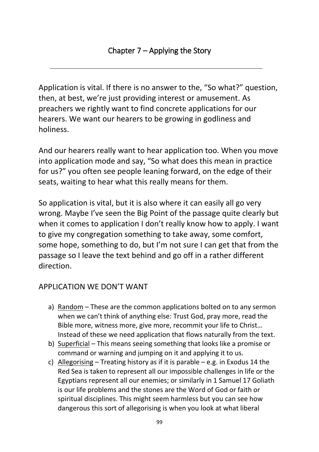Application is vital. If there is no answer to the, "So what?" question, then, at best, we're just providing interest or amusement. As preachers we rightly want to find concrete applications for our hearers. We want our hearers to be growing in godliness and holiness.

And our hearers really want to hear application too. When you move into application mode and say, "So what does this mean in practice for us?" you often see people leaning forward, on the edge of their seats, waiting to hear what this really means for them.

So application is vital, but it is also where it can easily all go very wrong. Maybe I've seen the Big Point of the passage quite clearly but when it comes to application I don't really know how to apply. I want to give my congregation something to take away, some comfort, some hope, something to do, but I'm not sure I can get that from the passage so I leave the text behind and go off in a rather different direction.

## APPLICATION WE DON'T WANT

- a) Random These are the common applications bolted on to any sermon when we can't think of anything else: Trust God, pray more, read the Bible more, witness more, give more, recommit your life to Christ… Instead of these we need application that flows naturally from the text.
- b) Superficial This means seeing something that looks like a promise or command or warning and jumping on it and applying it to us.
- c) Allegorising Treating history as if it is parable e.g. in Exodus 14 the Red Sea is taken to represent all our impossible challenges in life or the Egyptians represent all our enemies; or similarly in 1 Samuel 17 Goliath is our life problems and the stones are the Word of God or faith or spiritual disciplines. This might seem harmless but you can see how dangerous this sort of allegorising is when you look at what liberal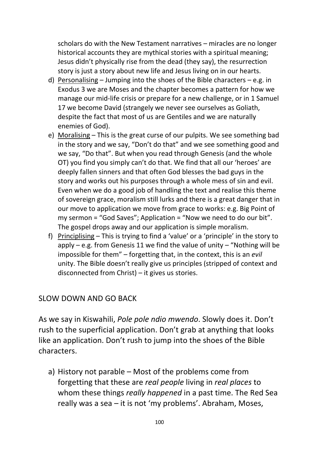scholars do with the New Testament narratives – miracles are no longer historical accounts they are mythical stories with a spiritual meaning; Jesus didn't physically rise from the dead (they say), the resurrection story is just a story about new life and Jesus living on in our hearts.

- d) Personalising Jumping into the shoes of the Bible characters e.g. in Exodus 3 we are Moses and the chapter becomes a pattern for how we manage our mid-life crisis or prepare for a new challenge, or in 1 Samuel 17 we become David (strangely we never see ourselves as Goliath, despite the fact that most of us are Gentiles and we are naturally enemies of God).
- e) Moralising This is the great curse of our pulpits. We see something bad in the story and we say, "Don't do that" and we see something good and we say, "Do that". But when you read through Genesis (and the whole OT) you find you simply can't do that. We find that all our 'heroes' are deeply fallen sinners and that often God blesses the bad guys in the story and works out his purposes through a whole mess of sin and evil. Even when we do a good job of handling the text and realise this theme of sovereign grace, moralism still lurks and there is a great danger that in our move to application we move from grace to works: e.g. Big Point of my sermon = "God Saves"; Application = "Now we need to do our bit". The gospel drops away and our application is simple moralism.
- f) Principlising This is trying to find a 'value' or a 'principle' in the story to apply – e.g. from Genesis 11 we find the value of unity – "Nothing will be impossible for them" – forgetting that, in the context, this is an *evil* unity. The Bible doesn't really give us principles (stripped of context and disconnected from Christ) – it gives us stories.

#### SLOW DOWN AND GO BACK

As we say in Kiswahili, *Pole pole ndio mwendo*. Slowly does it. Don't rush to the superficial application. Don't grab at anything that looks like an application. Don't rush to jump into the shoes of the Bible characters.

a) History not parable – Most of the problems come from forgetting that these are *real people* living in *real places* to whom these things *really happened* in a past time. The Red Sea really was a sea – it is not 'my problems'. Abraham, Moses,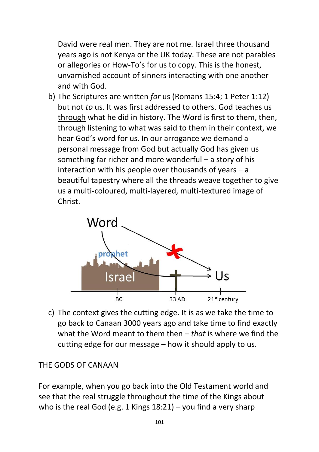David were real men. They are not me. Israel three thousand years ago is not Kenya or the UK today. These are not parables or allegories or How-To's for us to copy. This is the honest, unvarnished account of sinners interacting with one another and with God.

b) The Scriptures are written *for* us (Romans 15:4; 1 Peter 1:12) but not *to* us. It was first addressed to others. God teaches us through what he did in history. The Word is first to them, then, through listening to what was said to them in their context, we hear God's word for us. In our arrogance we demand a personal message from God but actually God has given us something far richer and more wonderful – a story of his interaction with his people over thousands of years – a beautiful tapestry where all the threads weave together to give us a multi-coloured, multi-layered, multi-textured image of Christ.



c) The context gives the cutting edge. It is as we take the time to go back to Canaan 3000 years ago and take time to find exactly what the Word meant to them then – *that* is where we find the cutting edge for our message – how it should apply to us.

## THE GODS OF CANAAN

For example, when you go back into the Old Testament world and see that the real struggle throughout the time of the Kings about who is the real God (e.g. 1 Kings 18:21) – you find a very sharp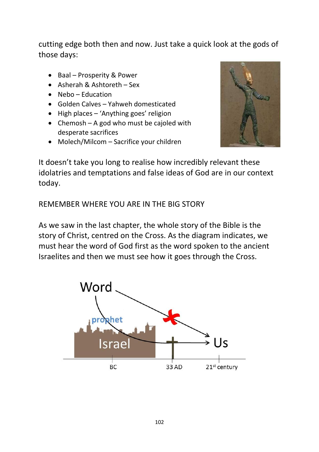cutting edge both then and now. Just take a quick look at the gods of those days:

- Baal Prosperity & Power
- Asherah & Ashtoreth Sex
- $\bullet$  Nebo Education
- Golden Calves Yahweh domesticated
- High places 'Anything goes' religion
- Chemosh A god who must be cajoled with desperate sacrifices
- Molech/Milcom Sacrifice your children



It doesn't take you long to realise how incredibly relevant these idolatries and temptations and false ideas of God are in our context today.

REMEMBER WHERE YOU ARE IN THE BIG STORY

As we saw in the last chapter, the whole story of the Bible is the story of Christ, centred on the Cross. As the diagram indicates, we must hear the word of God first as the word spoken to the ancient Israelites and then we must see how it goes through the Cross.

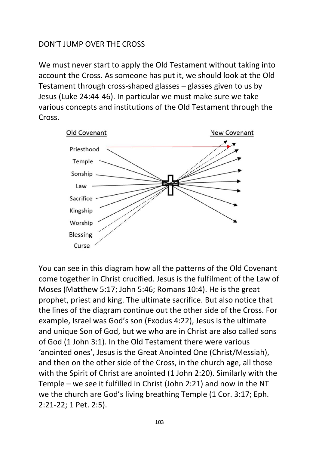#### DON'T JUMP OVER THE CROSS

We must never start to apply the Old Testament without taking into account the Cross. As someone has put it, we should look at the Old Testament through cross-shaped glasses – glasses given to us by Jesus (Luke 24:44-46). In particular we must make sure we take various concepts and institutions of the Old Testament through the Cross.



You can see in this diagram how all the patterns of the Old Covenant come together in Christ crucified. Jesus is the fulfilment of the Law of Moses (Matthew 5:17; John 5:46; Romans 10:4). He is the great prophet, priest and king. The ultimate sacrifice. But also notice that the lines of the diagram continue out the other side of the Cross. For example, Israel was God's son (Exodus 4:22), Jesus is the ultimate and unique Son of God, but we who are in Christ are also called sons of God (1 John 3:1). In the Old Testament there were various 'anointed ones', Jesus is the Great Anointed One (Christ/Messiah), and then on the other side of the Cross, in the church age, all those with the Spirit of Christ are anointed (1 John 2:20). Similarly with the Temple – we see it fulfilled in Christ (John 2:21) and now in the NT we the church are God's living breathing Temple (1 Cor. 3:17; Eph. 2:21-22; 1 Pet. 2:5).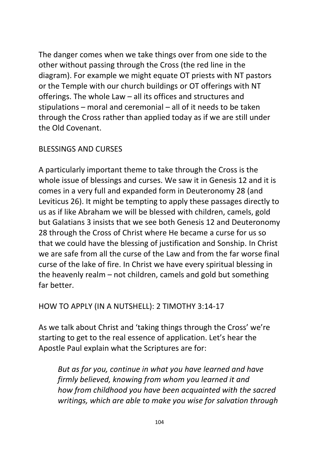The danger comes when we take things over from one side to the other without passing through the Cross (the red line in the diagram). For example we might equate OT priests with NT pastors or the Temple with our church buildings or OT offerings with NT offerings. The whole Law – all its offices and structures and stipulations – moral and ceremonial – all of it needs to be taken through the Cross rather than applied today as if we are still under the Old Covenant.

## BLESSINGS AND CURSES

A particularly important theme to take through the Cross is the whole issue of blessings and curses. We saw it in Genesis 12 and it is comes in a very full and expanded form in Deuteronomy 28 (and Leviticus 26). It might be tempting to apply these passages directly to us as if like Abraham we will be blessed with children, camels, gold but Galatians 3 insists that we see both Genesis 12 and Deuteronomy 28 through the Cross of Christ where He became a curse for us so that we could have the blessing of justification and Sonship. In Christ we are safe from all the curse of the Law and from the far worse final curse of the lake of fire. In Christ we have every spiritual blessing in the heavenly realm – not children, camels and gold but something far better.

## HOW TO APPLY (IN A NUTSHELL): 2 TIMOTHY 3:14-17

As we talk about Christ and 'taking things through the Cross' we're starting to get to the real essence of application. Let's hear the Apostle Paul explain what the Scriptures are for:

*But as for you, continue in what you have learned and have firmly believed, knowing from whom you learned it and how from childhood you have been acquainted with the sacred writings, which are able to make you wise for salvation through*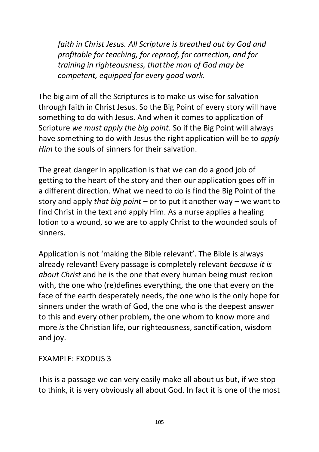*faith in Christ Jesus. All Scripture is breathed out by God and profitable for teaching, for reproof, for correction, and for training in righteousness, thatthe man of God may be competent, equipped for every good work.*

The big aim of all the Scriptures is to make us wise for salvation through faith in Christ Jesus. So the Big Point of every story will have something to do with Jesus. And when it comes to application of Scripture *we must apply the big point*. So if the Big Point will always have something to do with Jesus the right application will be to *apply Him* to the souls of sinners for their salvation.

The great danger in application is that we can do a good job of getting to the heart of the story and then our application goes off in a different direction. What we need to do is find the Big Point of the story and apply *that big point* – or to put it another way – we want to find Christ in the text and apply Him. As a nurse applies a healing lotion to a wound, so we are to apply Christ to the wounded souls of sinners.

Application is not 'making the Bible relevant'. The Bible is always already relevant! Every passage is completely relevant *because it is about Christ* and he is the one that every human being must reckon with, the one who (re)defines everything, the one that every on the face of the earth desperately needs, the one who is the only hope for sinners under the wrath of God, the one who is the deepest answer to this and every other problem, the one whom to know more and more *is* the Christian life, our righteousness, sanctification, wisdom and joy.

## EXAMPLE: EXODUS 3

This is a passage we can very easily make all about us but, if we stop to think, it is very obviously all about God. In fact it is one of the most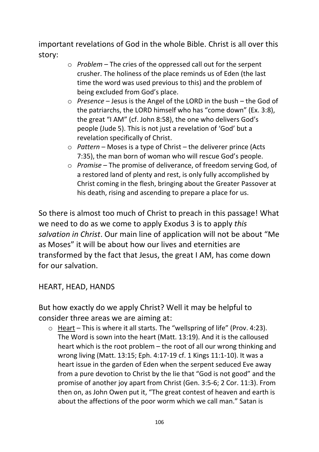important revelations of God in the whole Bible. Christ is all over this story:

- o *Problem* The cries of the oppressed call out for the serpent crusher. The holiness of the place reminds us of Eden (the last time the word was used previous to this) and the problem of being excluded from God's place.
- o *Presence* Jesus is the Angel of the LORD in the bush the God of the patriarchs, the LORD himself who has "come down" (Ex. 3:8), the great "I AM" (cf. John 8:58), the one who delivers God's people (Jude 5). This is not just a revelation of 'God' but a revelation specifically of Christ.
- o *Pattern* Moses is a type of Christ the deliverer prince (Acts 7:35), the man born of woman who will rescue God's people.
- o *Promise* The promise of deliverance, of freedom serving God, of a restored land of plenty and rest, is only fully accomplished by Christ coming in the flesh, bringing about the Greater Passover at his death, rising and ascending to prepare a place for us.

So there is almost too much of Christ to preach in this passage! What we need to do as we come to apply Exodus 3 is to apply *this salvation in Christ*. Our main line of application will not be about "Me as Moses" it will be about how our lives and eternities are transformed by the fact that Jesus, the great I AM, has come down for our salvation.

## HEART, HEAD, HANDS

But how exactly do we apply Christ? Well it may be helpful to consider three areas we are aiming at:

o Heart - This is where it all starts. The "wellspring of life" (Prov. 4:23). The Word is sown into the heart (Matt. 13:19). And it is the calloused heart which is the root problem – the root of all our wrong thinking and wrong living (Matt. 13:15; Eph. 4:17-19 cf. 1 Kings 11:1-10). It was a heart issue in the garden of Eden when the serpent seduced Eve away from a pure devotion to Christ by the lie that "God is not good" and the promise of another joy apart from Christ (Gen. 3:5-6; 2 Cor. 11:3). From then on, as John Owen put it, "The great contest of heaven and earth is about the affections of the poor worm which we call man." Satan is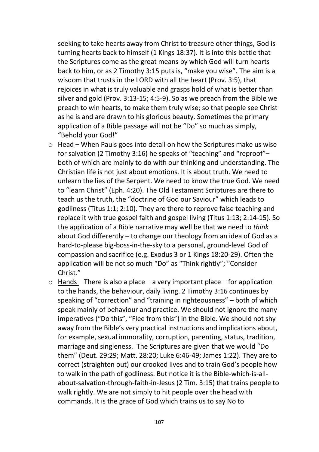seeking to take hearts away from Christ to treasure other things, God is turning hearts back to himself (1 Kings 18:37). It is into this battle that the Scriptures come as the great means by which God will turn hearts back to him, or as 2 Timothy 3:15 puts is, "make you wise". The aim is a wisdom that trusts in the LORD with all the heart (Prov. 3:5), that rejoices in what is truly valuable and grasps hold of what is better than silver and gold (Prov. 3:13-15; 4:5-9). So as we preach from the Bible we preach to win hearts, to make them truly wise; so that people see Christ as he is and are drawn to his glorious beauty. Sometimes the primary application of a Bible passage will not be "Do" so much as simply, "Behold your God!"

- o Head When Pauls goes into detail on how the Scriptures make us wise for salvation (2 Timothy 3:16) he speaks of "teaching" and "reproof"– both of which are mainly to do with our thinking and understanding. The Christian life is not just about emotions. It is about truth. We need to unlearn the lies of the Serpent. We need to know the true God. We need to "learn Christ" (Eph. 4:20). The Old Testament Scriptures are there to teach us the truth, the "doctrine of God our Saviour" which leads to godliness (Titus 1:1; 2:10). They are there to reprove false teaching and replace it with true gospel faith and gospel living (Titus 1:13; 2:14-15). So the application of a Bible narrative may well be that we need to *think* about God differently – to change our theology from an idea of God as a hard-to-please big-boss-in-the-sky to a personal, ground-level God of compassion and sacrifice (e.g. Exodus 3 or 1 Kings 18:20-29). Often the application will be not so much "Do" as "Think rightly"; "Consider Christ."
- $\circ$  Hands There is also a place a very important place for application to the hands, the behaviour, daily living. 2 Timothy 3:16 continues by speaking of "correction" and "training in righteousness" – both of which speak mainly of behaviour and practice. We should not ignore the many imperatives ("Do this", "Flee from this") in the Bible. We should not shy away from the Bible's very practical instructions and implications about, for example, sexual immorality, corruption, parenting, status, tradition, marriage and singleness. The Scriptures are given that we would "Do them" (Deut. 29:29; Matt. 28:20; Luke 6:46-49; James 1:22). They are to correct (straighten out) our crooked lives and to train God's people how to walk in the path of godliness. But notice it is the Bible-which-is-allabout-salvation-through-faith-in-Jesus (2 Tim. 3:15) that trains people to walk rightly. We are not simply to hit people over the head with commands. It is the grace of God which trains us to say No to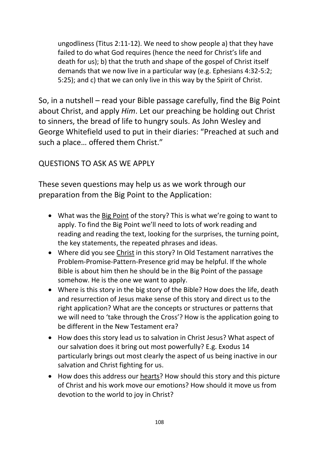ungodliness (Titus 2:11-12). We need to show people a) that they have failed to do what God requires (hence the need for Christ's life and death for us); b) that the truth and shape of the gospel of Christ itself demands that we now live in a particular way (e.g. Ephesians 4:32-5:2; 5:25); and c) that we can only live in this way by the Spirit of Christ.

So, in a nutshell – read your Bible passage carefully, find the Big Point about Christ, and apply *Him*. Let our preaching be holding out Christ to sinners, the bread of life to hungry souls. As John Wesley and George Whitefield used to put in their diaries: "Preached at such and such a place… offered them Christ."

# QUESTIONS TO ASK AS WE APPLY

These seven questions may help us as we work through our preparation from the Big Point to the Application:

- What was the Big Point of the story? This is what we're going to want to apply. To find the Big Point we'll need to lots of work reading and reading and reading the text, looking for the surprises, the turning point, the key statements, the repeated phrases and ideas.
- Where did you see Christ in this story? In Old Testament narratives the Problem-Promise-Pattern-Presence grid may be helpful. If the whole Bible is about him then he should be in the Big Point of the passage somehow. He is the one we want to apply.
- Where is this story in the big story of the Bible? How does the life, death and resurrection of Jesus make sense of this story and direct us to the right application? What are the concepts or structures or patterns that we will need to 'take through the Cross'? How is the application going to be different in the New Testament era?
- How does this story lead us to salvation in Christ Jesus? What aspect of our salvation does it bring out most powerfully? E.g. Exodus 14 particularly brings out most clearly the aspect of us being inactive in our salvation and Christ fighting for us.
- How does this address our hearts? How should this story and this picture of Christ and his work move our emotions? How should it move us from devotion to the world to joy in Christ?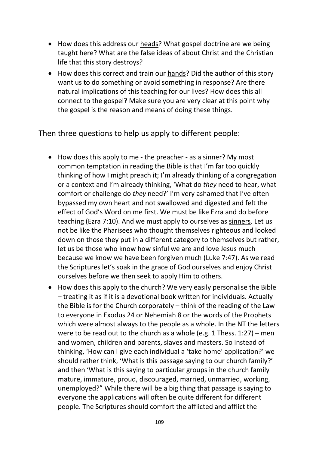- How does this address our heads? What gospel doctrine are we being taught here? What are the false ideas of about Christ and the Christian life that this story destroys?
- How does this correct and train our hands? Did the author of this story want us to do something or avoid something in response? Are there natural implications of this teaching for our lives? How does this all connect to the gospel? Make sure you are very clear at this point why the gospel is the reason and means of doing these things.

Then three questions to help us apply to different people:

- How does this apply to me the preacher as a sinner? My most common temptation in reading the Bible is that I'm far too quickly thinking of how I might preach it; I'm already thinking of a congregation or a context and I'm already thinking, 'What do *they* need to hear, what comfort or challenge do *they* need?' I'm very ashamed that I've often bypassed my own heart and not swallowed and digested and felt the effect of God's Word on me first. We must be like Ezra and do before teaching (Ezra 7:10). And we must apply to ourselves as sinners. Let us not be like the Pharisees who thought themselves righteous and looked down on those they put in a different category to themselves but rather, let us be those who know how sinful we are and love Jesus much because we know we have been forgiven much (Luke 7:47). As we read the Scriptures let's soak in the grace of God ourselves and enjoy Christ ourselves before we then seek to apply Him to others.
- How does this apply to the church? We very easily personalise the Bible – treating it as if it is a devotional book written for individuals. Actually the Bible is for the Church corporately – think of the reading of the Law to everyone in Exodus 24 or Nehemiah 8 or the words of the Prophets which were almost always to the people as a whole. In the NT the letters were to be read out to the church as a whole (e.g. 1 Thess. 1:27) – men and women, children and parents, slaves and masters. So instead of thinking, 'How can I give each individual a 'take home' application?' we should rather think, 'What is this passage saying to our church family?' and then 'What is this saying to particular groups in the church family – mature, immature, proud, discouraged, married, unmarried, working, unemployed?" While there will be a big thing that passage is saying to everyone the applications will often be quite different for different people. The Scriptures should comfort the afflicted and afflict the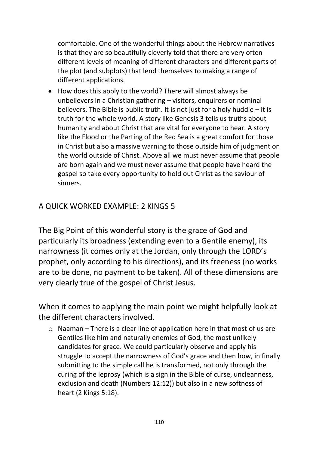comfortable. One of the wonderful things about the Hebrew narratives is that they are so beautifully cleverly told that there are very often different levels of meaning of different characters and different parts of the plot (and subplots) that lend themselves to making a range of different applications.

 How does this apply to the world? There will almost always be unbelievers in a Christian gathering – visitors, enquirers or nominal believers. The Bible is public truth. It is not just for a holy huddle – it is truth for the whole world. A story like Genesis 3 tells us truths about humanity and about Christ that are vital for everyone to hear. A story like the Flood or the Parting of the Red Sea is a great comfort for those in Christ but also a massive warning to those outside him of judgment on the world outside of Christ. Above all we must never assume that people are born again and we must never assume that people have heard the gospel so take every opportunity to hold out Christ as the saviour of sinners.

#### A QUICK WORKED EXAMPLE: 2 KINGS 5

The Big Point of this wonderful story is the grace of God and particularly its broadness (extending even to a Gentile enemy), its narrowness (it comes only at the Jordan, only through the LORD's prophet, only according to his directions), and its freeness (no works are to be done, no payment to be taken). All of these dimensions are very clearly true of the gospel of Christ Jesus.

When it comes to applying the main point we might helpfully look at the different characters involved.

o Naaman – There is a clear line of application here in that most of us are Gentiles like him and naturally enemies of God, the most unlikely candidates for grace. We could particularly observe and apply his struggle to accept the narrowness of God's grace and then how, in finally submitting to the simple call he is transformed, not only through the curing of the leprosy (which is a sign in the Bible of curse, uncleanness, exclusion and death (Numbers 12:12)) but also in a new softness of heart (2 Kings 5:18).